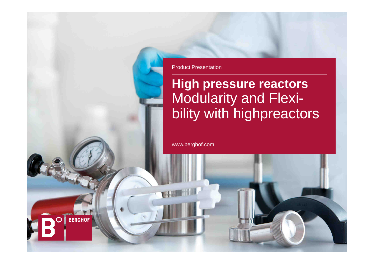

# **High pressure reactors** Modularity and Flexibility with highpreactors

www.berghof.com

**BERGHOF**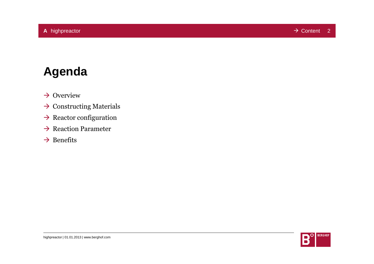# **Agenda**

- $\rightarrow$  Overview
- $\rightarrow$  Constructing Materials
- $\rightarrow$  Reactor configuration
- $\rightarrow$  Reaction Parameter
- $\rightarrow$  Benefits

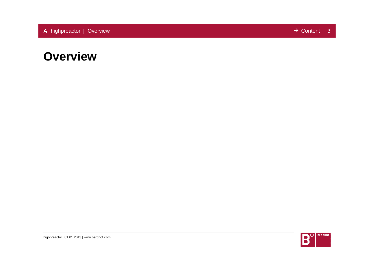### **Overview**

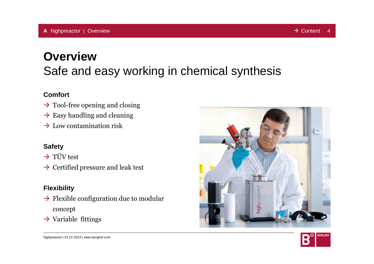# **Overview**Safe and easy working in chemical synthesis

### **Comfort**

- $\rightarrow$  Tool-free opening and closing
- $\rightarrow$  Easy handling and cleaning
- $\rightarrow$  Low contamination risk

### **Safety**

 $\rightarrow$  TÜV test

 $\rightarrow$  Certified pressure and leak test

### **Flexibility**

- $\rightarrow$  Flexible configuration due to modular concept
- $\rightarrow$  Variable fittings



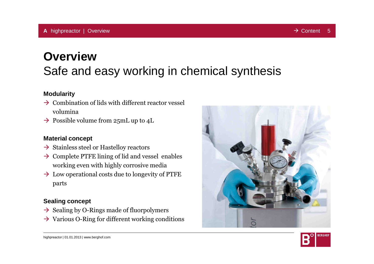# **Overview**Safe and easy working in chemical synthesis

#### **Modularity**

- $\rightarrow$  Combination of lids with different reactor vessel volumina
- $\rightarrow$  Possible volume from 25mL up to 4L

#### **Material concept**

- Stainless steel or Hastelloy reactors
- $\rightarrow$  Complete PTFE lining of lid and vessel enables working even with highly corrosive media
- $\rightarrow$  Low operational costs due to longevity of PTFE parts

### **Sealing concept**

- $\rightarrow$  Sealing by O-Rings made of fluorpolymers
- $\rightarrow$  Various O-Ring for different working conditions



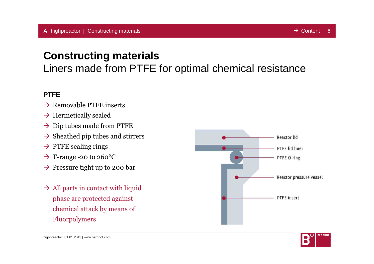### **Constructing materials**

Liners made from PTFE for optimal chemical resistance

### **PTFE**

- $\rightarrow$  Removable PTFE inserts
- $\rightarrow$  Hermetically sealed
- $\rightarrow$  Dip tubes made from PTFE
- $\rightarrow$  Sheathed pip tubes and stirrers
- $\rightarrow$  PTFE sealing rings
- $\rightarrow$  T-range -20 to 260°C
- $\rightarrow$  Pressure tight up to 200 bar
- $\rightarrow$  All parts in contact with liquid phase are protected against chemical attack by means of Fluorpolymers



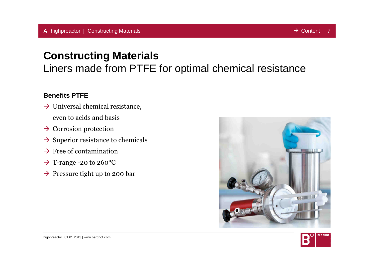## **Constructing Materials**

Liners made from PTFE for optimal chemical resistance

### **Benefits PTFE**

- $\rightarrow$  Universal chemical resistance, even to acids and basis
- $\rightarrow$  Corrosion protection
- $\rightarrow$  Superior resistance to chemicals
- $\rightarrow$  Free of contamination
- $\rightarrow$  T-range -20 to 260°C
- $\rightarrow$  Pressure tight up to 200 bar



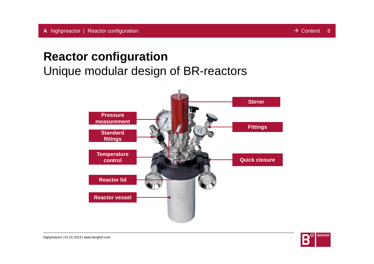## **Reactor configuration**

Unique modular design of BR-reactors



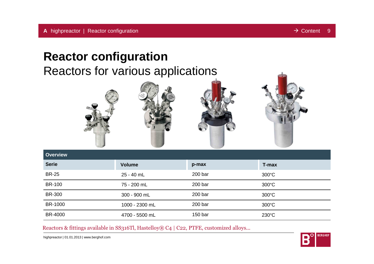## **Reactor configuration**

Reactors for various applications



Reactors & fittings available in SS316Tl, Hastelloy® C4 | C22, PTFE, customized alloys...

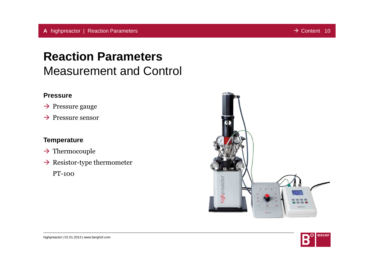# **Reaction Parameters**Measurement and Control

### **Pressure**

- $\rightarrow$  Pressure gauge
- $\rightarrow$  Pressure sensor

### **Temperature**

- $\rightarrow$  Thermocouple
- $\rightarrow$  Resistor-type thermometer

PT-100

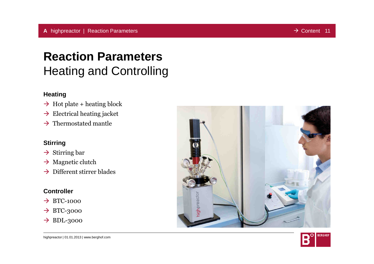# **Reaction Parameters**Heating and Controlling

### **Heating**

- $\rightarrow$  Hot plate + heating block
- $\rightarrow$  Electrical heating jacket
- $\rightarrow$  Thermostated mantle

#### **Stirring**

- $\rightarrow$  Stirring bar
- $\rightarrow$  Magnetic clutch
- $\rightarrow$  Different stirrer blades

#### **Controller**

- $\rightarrow$  BTC-1000
- $\rightarrow$  BTC-3000
- $\rightarrow$  BDL-3000



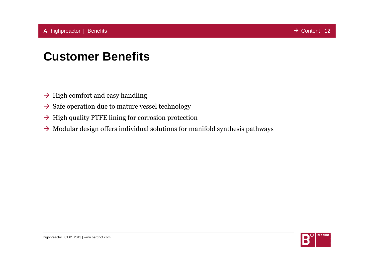# **Customer Benefits**

- $\rightarrow$  High comfort and easy handling
- $\rightarrow$  Safe operation due to mature vessel technology
- $\rightarrow$  High quality PTFE lining for corrosion protection
- $\rightarrow$  Modular design offers individual solutions for manifold synthesis pathways

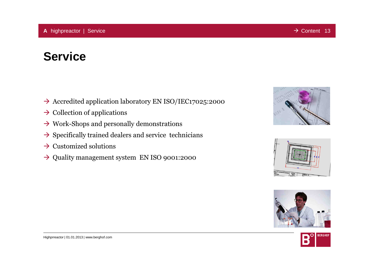# **Service**

- → Accredited application laboratory EN ISO/IEC17025:2000
- $\rightarrow$  Collection of applications
- $\rightarrow$  Work-Shops and personally demonstrations
- $\rightarrow$  Specifically trained dealers and service technicians
- $\rightarrow$  Customized solutions
- $\rightarrow$  Quality management system EN ISO 9001:2000